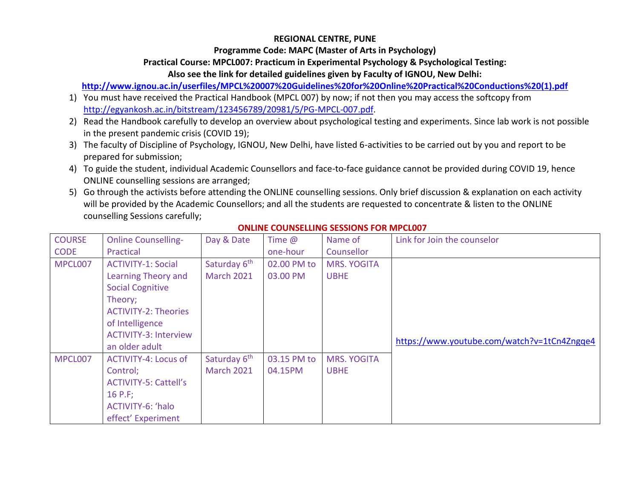### **REGIONAL CENTRE, PUNE**

**Programme Code: MAPC (Master of Arts in Psychology)**

### **Practical Course: MPCL007: Practicum in Experimental Psychology & Psychological Testing:**

**Also see the link for detailed guidelines given by Faculty of IGNOU, New Delhi:**

**[http://www.ignou.ac.in/userfiles/MPCL%20007%20Guidelines%20for%20Online%20Practical%20Conductions%20\(1\).pdf](http://www.ignou.ac.in/userfiles/MPCL%20007%20Guidelines%20for%20Online%20Practical%20Conductions%20(1).pdf)**

- 1) You must have received the Practical Handbook (MPCL 007) by now; if not then you may access the softcopy from [http://egyankosh.ac.in/bitstream/123456789/20981/5/PG-MPCL-007.pdf.](http://egyankosh.ac.in/bitstream/123456789/20981/5/PG-MPCL-007.pdf)
- 2) Read the Handbook carefully to develop an overview about psychological testing and experiments. Since lab work is not possible in the present pandemic crisis (COVID 19);
- 3) The faculty of Discipline of Psychology, IGNOU, New Delhi, have listed 6-activities to be carried out by you and report to be prepared for submission;
- 4) To guide the student, individual Academic Counsellors and face-to-face guidance cannot be provided during COVID 19, hence ONLINE counselling sessions are arranged;
- 5) Go through the activists before attending the ONLINE counselling sessions. Only brief discussion & explanation on each activity will be provided by the Academic Counsellors; and all the students are requested to concentrate & listen to the ONLINE counselling Sessions carefully;

| <b>COURSE</b> | <b>Online Counselling-</b>   | Day & Date               | Time $\omega$ | Name of            | Link for Join the counselor                 |
|---------------|------------------------------|--------------------------|---------------|--------------------|---------------------------------------------|
| <b>CODE</b>   | Practical                    |                          | one-hour      | Counsellor         |                                             |
| MPCL007       | <b>ACTIVITY-1: Social</b>    | Saturday 6 <sup>th</sup> | 02.00 PM to   | <b>MRS. YOGITA</b> |                                             |
|               | Learning Theory and          | <b>March 2021</b>        | 03.00 PM      | <b>UBHE</b>        |                                             |
|               | <b>Social Cognitive</b>      |                          |               |                    |                                             |
|               | Theory;                      |                          |               |                    |                                             |
|               | <b>ACTIVITY-2: Theories</b>  |                          |               |                    |                                             |
|               | of Intelligence              |                          |               |                    |                                             |
|               | <b>ACTIVITY-3: Interview</b> |                          |               |                    | https://www.youtube.com/watch?v=1tCn4Zngqe4 |
|               | an older adult               |                          |               |                    |                                             |
| MPCL007       | <b>ACTIVITY-4: Locus of</b>  | Saturday 6 <sup>th</sup> | 03.15 PM to   | <b>MRS. YOGITA</b> |                                             |
|               | Control:                     | <b>March 2021</b>        | 04.15PM       | <b>UBHE</b>        |                                             |
|               | <b>ACTIVITY-5: Cattell's</b> |                          |               |                    |                                             |
|               | 16 P.F;                      |                          |               |                    |                                             |
|               | ACTIVITY-6: 'halo            |                          |               |                    |                                             |
|               | effect' Experiment           |                          |               |                    |                                             |

## **ONLINE COUNSELLING SESSIONS FOR MPCL007**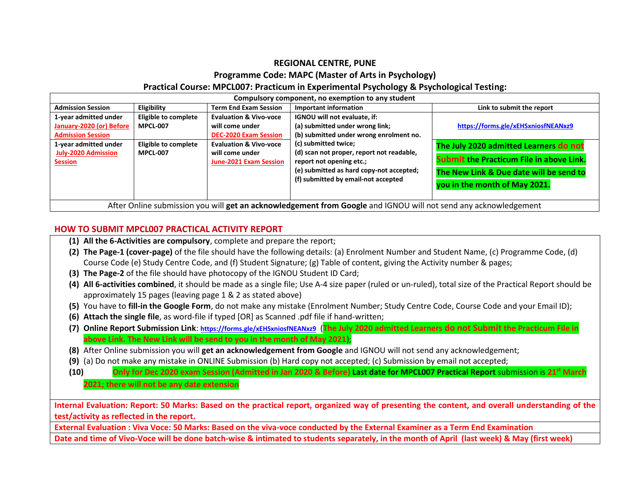### **REGIONAL CENTRE, PUNE Programme Code: MAPC (Master of Arts in Psychology) Practical Course: MPCL007: Practicum in Experimental Psychology & Psychological Testing:**

| Compulsory component, no exemption to any student                                                                                                      |                                                                                           |                                                                                                                                                                               |                                                                                                                                                                                                                                                                                                |                                                                                                                                                                                                              |  |  |
|--------------------------------------------------------------------------------------------------------------------------------------------------------|-------------------------------------------------------------------------------------------|-------------------------------------------------------------------------------------------------------------------------------------------------------------------------------|------------------------------------------------------------------------------------------------------------------------------------------------------------------------------------------------------------------------------------------------------------------------------------------------|--------------------------------------------------------------------------------------------------------------------------------------------------------------------------------------------------------------|--|--|
| <b>Admission Session</b>                                                                                                                               | Eligibility                                                                               | <b>Term End Exam Session</b>                                                                                                                                                  | <b>Important information</b>                                                                                                                                                                                                                                                                   | Link to submit the report                                                                                                                                                                                    |  |  |
| 1-year admitted under<br>January-2020 (or) Before<br><b>Admission Session</b><br>1-year admitted under<br><b>July-2020 Admission</b><br><b>Session</b> | <b>Eligible to complete</b><br><b>MPCL-007</b><br>Eligible to complete<br><b>MPCL-007</b> | <b>Evaluation &amp; Vivo-voce</b><br>will come under<br><b>DEC-2020 Exam Session</b><br><b>Evaluation &amp; Vivo-voce</b><br>will come under<br><b>June-2021 Exam Session</b> | IGNOU will not evaluate, if:<br>(a) submitted under wrong link;<br>(b) submitted under wrong enrolment no.<br>(c) submitted twice;<br>(d) scan not proper, report not readable,<br>report not opening etc.;<br>(e) submitted as hard copy-not accepted;<br>(f) submitted by email-not accepted | https://forms.gle/xEHSxniosfNEANxz9<br>The July 2020 admitted Learners do not<br><b>Submit the Practicum File in above Link.</b><br>The New Link & Due date will be send to<br>you in the month of May 2021. |  |  |
| After Online submission you will get an acknowledgement from Google and IGNOU will not send any acknowledgement                                        |                                                                                           |                                                                                                                                                                               |                                                                                                                                                                                                                                                                                                |                                                                                                                                                                                                              |  |  |

#### **HOW TO SUBMIT MPCL007 PRACTICAL ACTIVITY REPORT**

- **(1) All the 6-Activities are compulsory**, complete and prepare the report;
- **(2) The Page-1 (cover-page)** of the file should have the following details: (a) Enrolment Number and Student Name, (c) Programme Code, (d) Course Code (e) Study Centre Code, and (f) Student Signature; (g) Table of content, giving the Activity number & pages;
- **(3) The Page-2** of the file should have photocopy of the IGNOU Student ID Card;
- **(4) All 6-activities combined**, it should be made as a single file; Use A-4 size paper (ruled or un-ruled), total size of the Practical Report should be approximately 15 pages (leaving page 1 & 2 as stated above)
- **(5)** You have to **fill-in the Google Form**, do not make any mistake (Enrolment Number; Study Centre Code, Course Code and your Email ID);
- **(6) Attach the single file**, as word-file if typed [OR] as Scanned .pdf file if hand-written;
- **(7) Online Report Submission Link**: **<https://forms.gle/xEHSxniosfNEANxz9>** (**The July 2020 admitted Learners do not Submit the Practicum File in above Link. The New Link will be send to you in the month of May 2021**);
- **(8)** After Online submission you will **get an acknowledgement from Google** and IGNOU will not send any acknowledgement;
- **(9)** (a) Do not make any mistake in ONLINE Submission (b) Hard copy not accepted; (c) Submission by email not accepted;
- **(10) Only for Dec 2020 exam Session (Admitted in Jan 2020 & Before) Last date for MPCL007 Practical Report** submission is **21 st March 2021; there will not be any date extension**

**Internal Evaluation: Report: 50 Marks: Based on the practical report, organized way of presenting the content, and overall understanding of the test/activity as reflected in the report.** 

**External Evaluation : Viva Voce: 50 Marks: Based on the viva-voce conducted by the External Examiner as a Term End Examination**

**Date and time of Vivo-Voce will be done batch-wise & intimated to students separately, in the month of April (last week) & May (first week)**